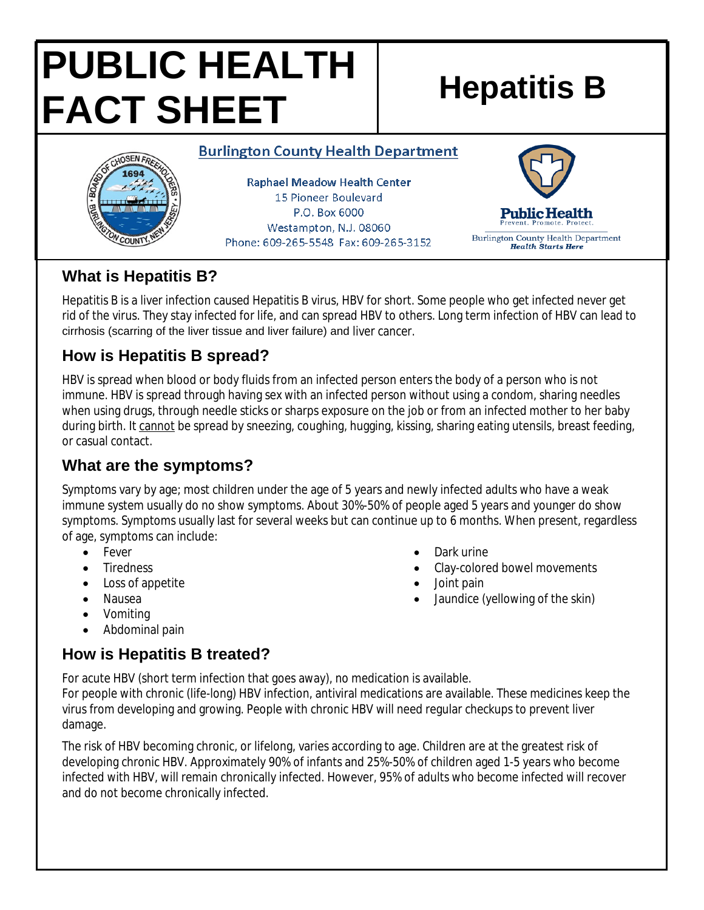# **PUBLIC HEALTH FACT SHEET** Hepatitis B

#### **Burlington County Health Department**



**Raphael Meadow Health Center** 15 Pioneer Boulevard P.O. Box 6000 Westampton, N.J. 08060 Phone: 609-265-5548 Fax: 609-265-3152



#### **What is Hepatitis B?**

Hepatitis B is a liver infection caused Hepatitis B virus, HBV for short. Some people who get infected never get rid of the virus. They stay infected for life, and can spread HBV to others. Long term infection of HBV can lead to cirrhosis (scarring of the liver tissue and liver failure) and liver cancer.

## **How is Hepatitis B spread?**

HBV is spread when blood or body fluids from an infected person enters the body of a person who is not immune. HBV is spread through having sex with an infected person without using a condom, sharing needles when using drugs, through needle sticks or sharps exposure on the job or from an infected mother to her baby during birth. It cannot be spread by sneezing, coughing, hugging, kissing, sharing eating utensils, breast feeding, or casual contact.

# **What are the symptoms?**

Symptoms vary by age; most children under the age of 5 years and newly infected adults who have a weak immune system usually do no show symptoms. About 30%-50% of people aged 5 years and younger do show symptoms. Symptoms usually last for several weeks but can continue up to 6 months. When present, regardless of age, symptoms can include:

- Fever
- Tiredness
- Loss of appetite
- Nausea
- Vomiting
- Abdominal pain

**How is Hepatitis B treated?** For acute HBV (short term infection that goes away), no medication is available. For people with chronic (life-long) HBV infection, antiviral medications are available. These medicines keep the

virus from developing and growing. People with chronic HBV will need regular checkups to prevent liver damage.

The risk of HBV becoming chronic, or lifelong, varies according to age. Children are at the greatest risk of developing chronic HBV. Approximately 90% of infants and 25%-50% of children aged 1-5 years who become infected with HBV, will remain chronically infected. However, 95% of adults who become infected will recover and do not become chronically infected.

- Dark urine
- Clay-colored bowel movements
- Joint pain
- Jaundice (yellowing of the skin)